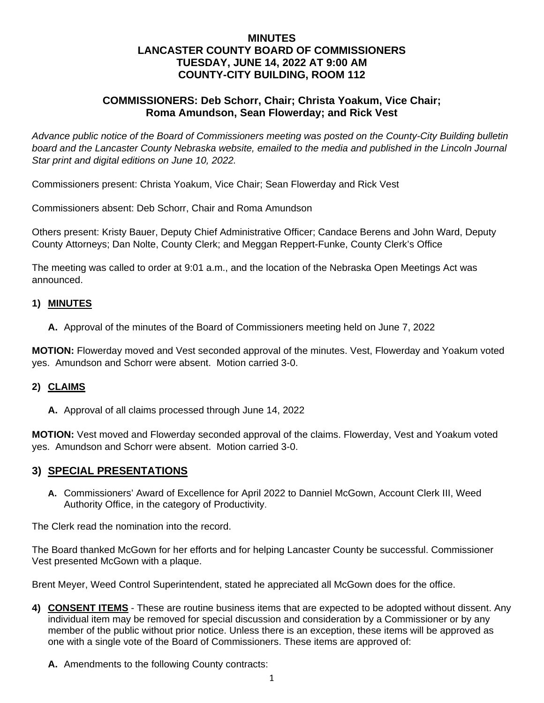# **MINUTES LANCASTER COUNTY BOARD OF COMMISSIONERS TUESDAY, JUNE 14, 2022 AT 9:00 AM COUNTY-CITY BUILDING, ROOM 112**

# **COMMISSIONERS: Deb Schorr, Chair; Christa Yoakum, Vice Chair; Roma Amundson, Sean Flowerday; and Rick Vest**

*Advance public notice of the Board of Commissioners meeting was posted on the County-City Building bulletin*  board and the Lancaster County Nebraska website, emailed to the media and published in the Lincoln Journal *Star print and digital editions on June 10, 2022.*

Commissioners present: Christa Yoakum, Vice Chair; Sean Flowerday and Rick Vest

Commissioners absent: Deb Schorr, Chair and Roma Amundson

Others present: Kristy Bauer, Deputy Chief Administrative Officer; Candace Berens and John Ward, Deputy County Attorneys; Dan Nolte, County Clerk; and Meggan Reppert-Funke, County Clerk's Office

The meeting was called to order at 9:01 a.m., and the location of the Nebraska Open Meetings Act was announced.

### **1) MINUTES**

**A.** Approval of the minutes of the Board of Commissioners meeting held on June 7, 2022

**MOTION:** Flowerday moved and Vest seconded approval of the minutes. Vest, Flowerday and Yoakum voted yes. Amundson and Schorr were absent. Motion carried 3-0.

### **2) CLAIMS**

**A.** Approval of all claims processed through June 14, 2022

**MOTION:** Vest moved and Flowerday seconded approval of the claims. Flowerday, Vest and Yoakum voted yes. Amundson and Schorr were absent. Motion carried 3-0.

### **3) SPECIAL PRESENTATIONS**

**A.** Commissioners' Award of Excellence for April 2022 to Danniel McGown, Account Clerk III, Weed Authority Office, in the category of Productivity.

The Clerk read the nomination into the record.

The Board thanked McGown for her efforts and for helping Lancaster County be successful. Commissioner Vest presented McGown with a plaque.

Brent Meyer, Weed Control Superintendent, stated he appreciated all McGown does for the office.

- **4) CONSENT ITEMS** These are routine business items that are expected to be adopted without dissent. Any individual item may be removed for special discussion and consideration by a Commissioner or by any member of the public without prior notice. Unless there is an exception, these items will be approved as one with a single vote of the Board of Commissioners. These items are approved of:
	- **A.** Amendments to the following County contracts: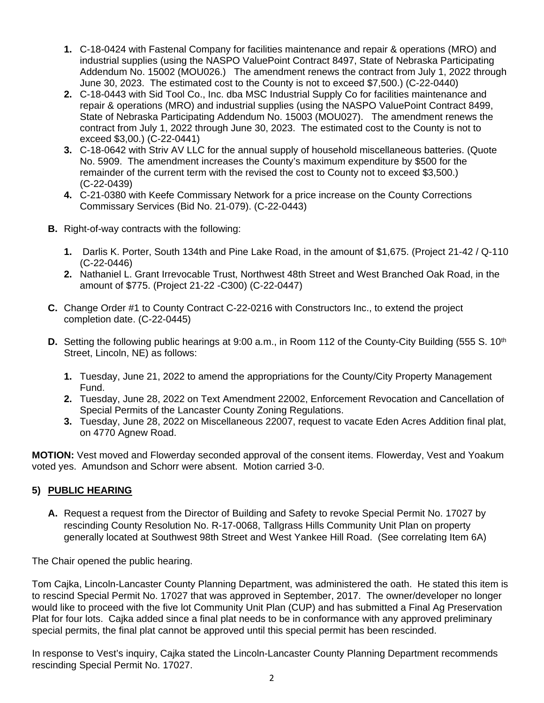- **1.** C-18-0424 with Fastenal Company for facilities maintenance and repair & operations (MRO) and industrial supplies (using the NASPO ValuePoint Contract 8497, State of Nebraska Participating Addendum No. 15002 (MOU026.) The amendment renews the contract from July 1, 2022 through June 30, 2023. The estimated cost to the County is not to exceed \$7,500.) (C-22-0440)
- **2.** C-18-0443 with Sid Tool Co., Inc. dba MSC Industrial Supply Co for facilities maintenance and repair & operations (MRO) and industrial supplies (using the NASPO ValuePoint Contract 8499, State of Nebraska Participating Addendum No. 15003 (MOU027). The amendment renews the contract from July 1, 2022 through June 30, 2023. The estimated cost to the County is not to exceed \$3,00.) (C-22-0441)
- **3.** C-18-0642 with Striv AV LLC for the annual supply of household miscellaneous batteries. (Quote No. 5909. The amendment increases the County's maximum expenditure by \$500 for the remainder of the current term with the revised the cost to County not to exceed \$3,500.) (C-22-0439)
- **4.** C-21-0380 with Keefe Commissary Network for a price increase on the County Corrections Commissary Services (Bid No. 21-079). (C-22-0443)
- **B.** Right-of-way contracts with the following:
	- **1.** Darlis K. Porter, South 134th and Pine Lake Road, in the amount of \$1,675. (Project 21-42 / Q-110 (C-22-0446)
	- **2.** Nathaniel L. Grant Irrevocable Trust, Northwest 48th Street and West Branched Oak Road, in the amount of \$775. (Project 21-22 -C300) (C-22-0447)
- **C.** Change Order #1 to County Contract C-22-0216 with Constructors Inc., to extend the project completion date. (C-22-0445)
- **D.** Setting the following public hearings at 9:00 a.m., in Room 112 of the County-City Building (555 S. 10<sup>th</sup>) Street, Lincoln, NE) as follows:
	- **1.** Tuesday, June 21, 2022 to amend the appropriations for the County/City Property Management Fund.
	- **2.** Tuesday, June 28, 2022 on Text Amendment 22002, Enforcement Revocation and Cancellation of Special Permits of the Lancaster County Zoning Regulations.
	- **3.** Tuesday, June 28, 2022 on Miscellaneous 22007, request to vacate Eden Acres Addition final plat, on 4770 Agnew Road.

**MOTION:** Vest moved and Flowerday seconded approval of the consent items. Flowerday, Vest and Yoakum voted yes. Amundson and Schorr were absent. Motion carried 3-0.

# **5) PUBLIC HEARING**

**A.** Request a request from the Director of Building and Safety to revoke Special Permit No. 17027 by rescinding County Resolution No. R-17-0068, Tallgrass Hills Community Unit Plan on property generally located at Southwest 98th Street and West Yankee Hill Road. (See correlating Item 6A)

The Chair opened the public hearing.

Tom Cajka, Lincoln-Lancaster County Planning Department, was administered the oath. He stated this item is to rescind Special Permit No. 17027 that was approved in September, 2017. The owner/developer no longer would like to proceed with the five lot Community Unit Plan (CUP) and has submitted a Final Ag Preservation Plat for four lots. Cajka added since a final plat needs to be in conformance with any approved preliminary special permits, the final plat cannot be approved until this special permit has been rescinded.

In response to Vest's inquiry, Cajka stated the Lincoln-Lancaster County Planning Department recommends rescinding Special Permit No. 17027.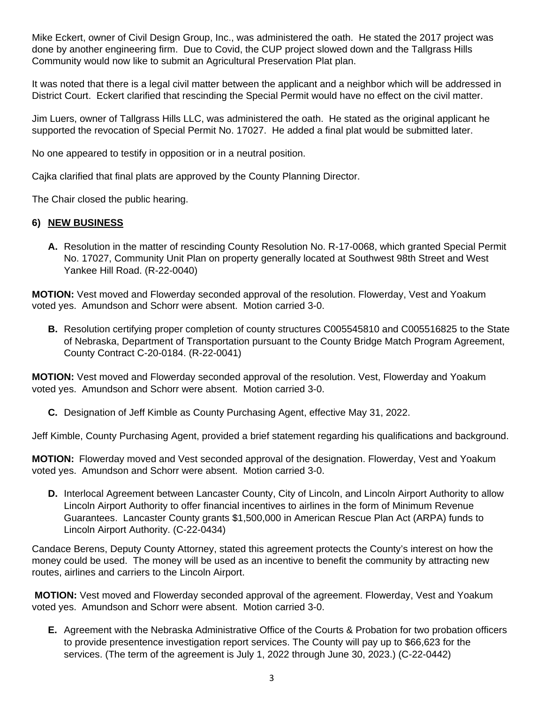Mike Eckert, owner of Civil Design Group, Inc., was administered the oath. He stated the 2017 project was done by another engineering firm. Due to Covid, the CUP project slowed down and the Tallgrass Hills Community would now like to submit an Agricultural Preservation Plat plan.

It was noted that there is a legal civil matter between the applicant and a neighbor which will be addressed in District Court. Eckert clarified that rescinding the Special Permit would have no effect on the civil matter.

Jim Luers, owner of Tallgrass Hills LLC, was administered the oath. He stated as the original applicant he supported the revocation of Special Permit No. 17027. He added a final plat would be submitted later.

No one appeared to testify in opposition or in a neutral position.

Cajka clarified that final plats are approved by the County Planning Director.

The Chair closed the public hearing.

#### **6) NEW BUSINESS**

**A.** Resolution in the matter of rescinding County Resolution No. R-17-0068, which granted Special Permit No. 17027, Community Unit Plan on property generally located at Southwest 98th Street and West Yankee Hill Road. (R-22-0040)

**MOTION:** Vest moved and Flowerday seconded approval of the resolution. Flowerday, Vest and Yoakum voted yes. Amundson and Schorr were absent. Motion carried 3-0.

**B.** Resolution certifying proper completion of county structures C005545810 and C005516825 to the State of Nebraska, Department of Transportation pursuant to the County Bridge Match Program Agreement, County Contract C-20-0184. (R-22-0041)

**MOTION:** Vest moved and Flowerday seconded approval of the resolution. Vest, Flowerday and Yoakum voted yes. Amundson and Schorr were absent. Motion carried 3-0.

**C.** Designation of Jeff Kimble as County Purchasing Agent, effective May 31, 2022.

Jeff Kimble, County Purchasing Agent, provided a brief statement regarding his qualifications and background.

**MOTION:** Flowerday moved and Vest seconded approval of the designation. Flowerday, Vest and Yoakum voted yes. Amundson and Schorr were absent. Motion carried 3-0.

**D.** Interlocal Agreement between Lancaster County, City of Lincoln, and Lincoln Airport Authority to allow Lincoln Airport Authority to offer financial incentives to airlines in the form of Minimum Revenue Guarantees. Lancaster County grants \$1,500,000 in American Rescue Plan Act (ARPA) funds to Lincoln Airport Authority. (C-22-0434)

Candace Berens, Deputy County Attorney, stated this agreement protects the County's interest on how the money could be used. The money will be used as an incentive to benefit the community by attracting new routes, airlines and carriers to the Lincoln Airport.

**MOTION:** Vest moved and Flowerday seconded approval of the agreement. Flowerday, Vest and Yoakum voted yes. Amundson and Schorr were absent. Motion carried 3-0.

**E.** Agreement with the Nebraska Administrative Office of the Courts & Probation for two probation officers to provide presentence investigation report services. The County will pay up to \$66,623 for the services. (The term of the agreement is July 1, 2022 through June 30, 2023.) (C-22-0442)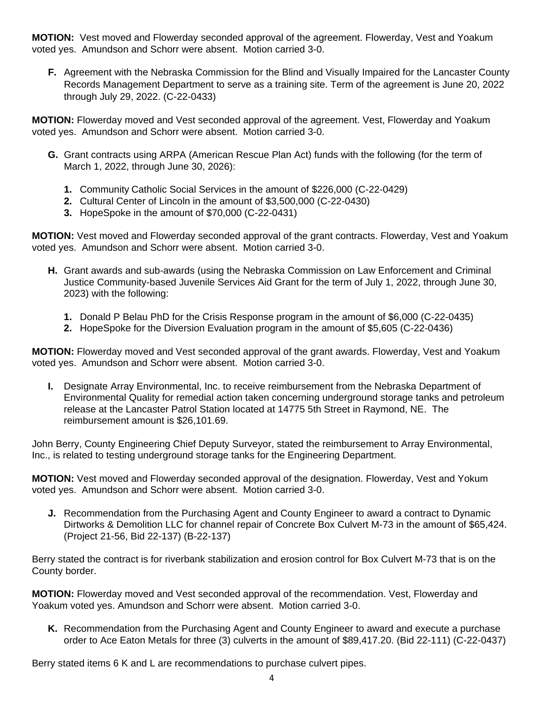**MOTION:** Vest moved and Flowerday seconded approval of the agreement. Flowerday, Vest and Yoakum voted yes. Amundson and Schorr were absent. Motion carried 3-0.

**F.** Agreement with the Nebraska Commission for the Blind and Visually Impaired for the Lancaster County Records Management Department to serve as a training site. Term of the agreement is June 20, 2022 through July 29, 2022. (C-22-0433)

**MOTION:** Flowerday moved and Vest seconded approval of the agreement. Vest, Flowerday and Yoakum voted yes. Amundson and Schorr were absent. Motion carried 3-0.

- **G.** Grant contracts using ARPA (American Rescue Plan Act) funds with the following (for the term of March 1, 2022, through June 30, 2026):
	- **1.** Community Catholic Social Services in the amount of \$226,000 (C-22-0429)
	- **2.** Cultural Center of Lincoln in the amount of \$3,500,000 (C-22-0430)
	- **3.** HopeSpoke in the amount of \$70,000 (C-22-0431)

**MOTION:** Vest moved and Flowerday seconded approval of the grant contracts. Flowerday, Vest and Yoakum voted yes. Amundson and Schorr were absent. Motion carried 3-0.

- **H.** Grant awards and sub-awards (using the Nebraska Commission on Law Enforcement and Criminal Justice Community-based Juvenile Services Aid Grant for the term of July 1, 2022, through June 30, 2023) with the following:
	- **1.** Donald P Belau PhD for the Crisis Response program in the amount of \$6,000 (C-22-0435)
	- **2.** HopeSpoke for the Diversion Evaluation program in the amount of \$5,605 (C-22-0436)

**MOTION:** Flowerday moved and Vest seconded approval of the grant awards. Flowerday, Vest and Yoakum voted yes. Amundson and Schorr were absent. Motion carried 3-0.

**I.** Designate Array Environmental, Inc. to receive reimbursement from the Nebraska Department of Environmental Quality for remedial action taken concerning underground storage tanks and petroleum release at the Lancaster Patrol Station located at 14775 5th Street in Raymond, NE. The reimbursement amount is \$26,101.69.

John Berry, County Engineering Chief Deputy Surveyor, stated the reimbursement to Array Environmental, Inc., is related to testing underground storage tanks for the Engineering Department.

**MOTION:** Vest moved and Flowerday seconded approval of the designation. Flowerday, Vest and Yokum voted yes. Amundson and Schorr were absent. Motion carried 3-0.

**J.** Recommendation from the Purchasing Agent and County Engineer to award a contract to Dynamic Dirtworks & Demolition LLC for channel repair of Concrete Box Culvert M-73 in the amount of \$65,424. (Project 21-56, Bid 22-137) (B-22-137)

Berry stated the contract is for riverbank stabilization and erosion control for Box Culvert M-73 that is on the County border.

**MOTION:** Flowerday moved and Vest seconded approval of the recommendation. Vest, Flowerday and Yoakum voted yes. Amundson and Schorr were absent. Motion carried 3-0.

**K.** Recommendation from the Purchasing Agent and County Engineer to award and execute a purchase order to Ace Eaton Metals for three (3) culverts in the amount of \$89,417.20. (Bid 22-111) (C-22-0437)

Berry stated items 6 K and L are recommendations to purchase culvert pipes.